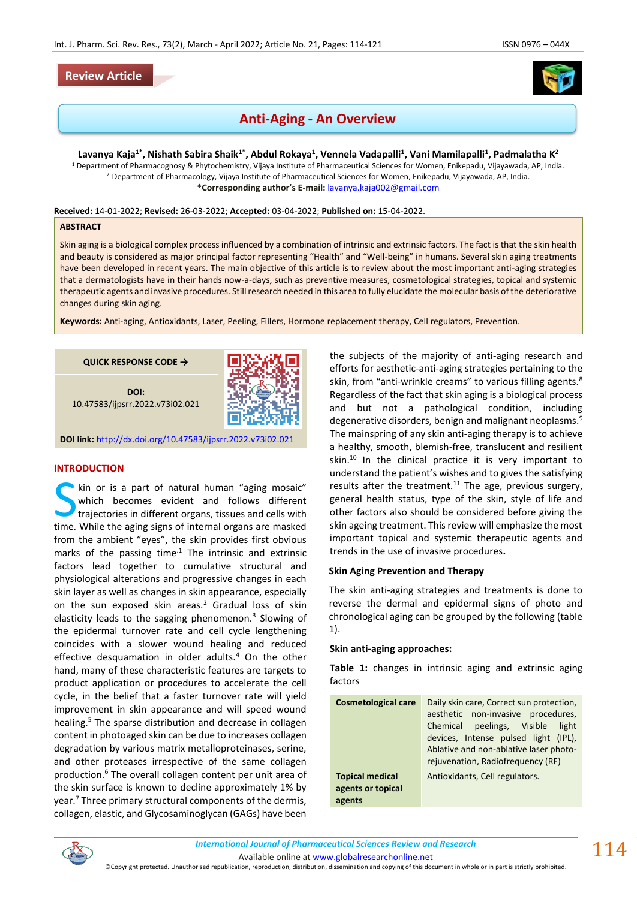## **Review Article**



# **Anti-Aging - An Overview**

**Lavanya Kaja1\*, Nishath Sabira Shaik1\*, Abdul Rokaya<sup>1</sup> , Vennela Vadapalli<sup>1</sup> , Vani Mamilapalli<sup>1</sup> , Padmalatha K<sup>2</sup>**

<sup>1</sup> Department of Pharmacognosy & Phytochemistry, Vijaya Institute of Pharmaceutical Sciences for Women, Enikepadu, Vijayawada, AP, India. <sup>2</sup> Department of Pharmacology, Vijaya Institute of Pharmaceutical Sciences for Women, Enikepadu, Vijayawada, AP, India. **\*Corresponding author's E-mail:** [lavanya.kaja002@gmail.com](mailto:lavanya.kaja002@gmail.com)

**Received:** 14-01-2022; **Revised:** 26-03-2022; **Accepted:** 03-04-2022; **Published on:** 15-04-2022.

#### **ABSTRACT**

Skin aging is a biological complex process influenced by a combination of intrinsic and extrinsic factors. The fact is that the skin health and beauty is considered as major principal factor representing "Health" and "Well-being" in humans. Several skin aging treatments have been developed in recent years. The main objective of this article is to review about the most important anti-aging strategies that a dermatologists have in their hands now-a-days, such as preventive measures, cosmetological strategies, topical and systemic therapeutic agents and invasive procedures. Still research needed in this area to fully elucidate the molecular basis of the deteriorative changes during skin aging.

**Keywords:** Anti-aging, Antioxidants, Laser, Peeling, Fillers, Hormone replacement therapy, Cell regulators, Prevention.



#### **INTRODUCTION**

kin or is a part of natural human "aging mosaic" which becomes evident and follows different trajectories in different organs, tissues and cells with Kin or is a part of natural human "aging mosaic"<br>
which becomes evident and follows different<br>
trajectories in different organs, tissues and cells with<br>
time. While the aging signs of internal organs are masked from the ambient "eyes", the skin provides first obvious marks of the passing time $1$  The intrinsic and extrinsic factors lead together to cumulative structural and physiological alterations and progressive changes in each skin layer as well as changes in skin appearance, especially on the sun exposed skin areas.<sup>2</sup> Gradual loss of skin elasticity leads to the sagging phenomenon.<sup>3</sup> Slowing of the epidermal turnover rate and cell cycle lengthening coincides with a slower wound healing and reduced effective desquamation in older adults.<sup>4</sup> On the other hand, many of these characteristic features are targets to product application or procedures to accelerate the cell cycle, in the belief that a faster turnover rate will yield improvement in skin appearance and will speed wound healing.<sup>5</sup> The sparse distribution and decrease in collagen content in photoaged skin can be due to increases collagen degradation by various matrix metalloproteinases, serine, and other proteases irrespective of the same collagen production.<sup>6</sup> The overall collagen content per unit area of the skin surface is known to decline approximately 1% by year.<sup>7</sup> Three primary structural components of the dermis, collagen, elastic, and Glycosaminoglycan (GAGs) have been

the subjects of the majority of anti-aging research and efforts for aesthetic-anti-aging strategies pertaining to the skin, from "anti-wrinkle creams" to various filling agents.<sup>8</sup> Regardless of the fact that skin aging is a biological process and but not a pathological condition, including degenerative disorders, benign and malignant neoplasms.<sup>9</sup> The mainspring of any skin anti-aging therapy is to achieve a healthy, smooth, blemish-free, translucent and resilient skin. $10$  In the clinical practice it is very important to understand the patient's wishes and to gives the satisfying results after the treatment. $11$  The age, previous surgery, general health status, type of the skin, style of life and other factors also should be considered before giving the skin ageing treatment. This review will emphasize the most important topical and systemic therapeutic agents and trends in the use of invasive procedures**.**

#### **Skin Aging Prevention and Therapy**

The skin anti-aging strategies and treatments is done to reverse the dermal and epidermal signs of photo and chronological aging can be grouped by the following (table 1).

#### **Skin anti-aging approaches:**

**Table 1:** changes in intrinsic aging and extrinsic aging factors

| <b>Cosmetological care</b>                            | Daily skin care, Correct sun protection,<br>aesthetic non-invasive procedures,<br>Chemical peelings, Visible<br>light<br>devices, Intense pulsed light (IPL),<br>Ablative and non-ablative laser photo-<br>rejuvenation, Radiofrequency (RF) |
|-------------------------------------------------------|----------------------------------------------------------------------------------------------------------------------------------------------------------------------------------------------------------------------------------------------|
| <b>Topical medical</b><br>agents or topical<br>agents | Antioxidants, Cell regulators.                                                                                                                                                                                                               |



*International Journal of Pharmaceutical Sciences Review and Research International Journal of Pharmaceutical Sciences Review and Research*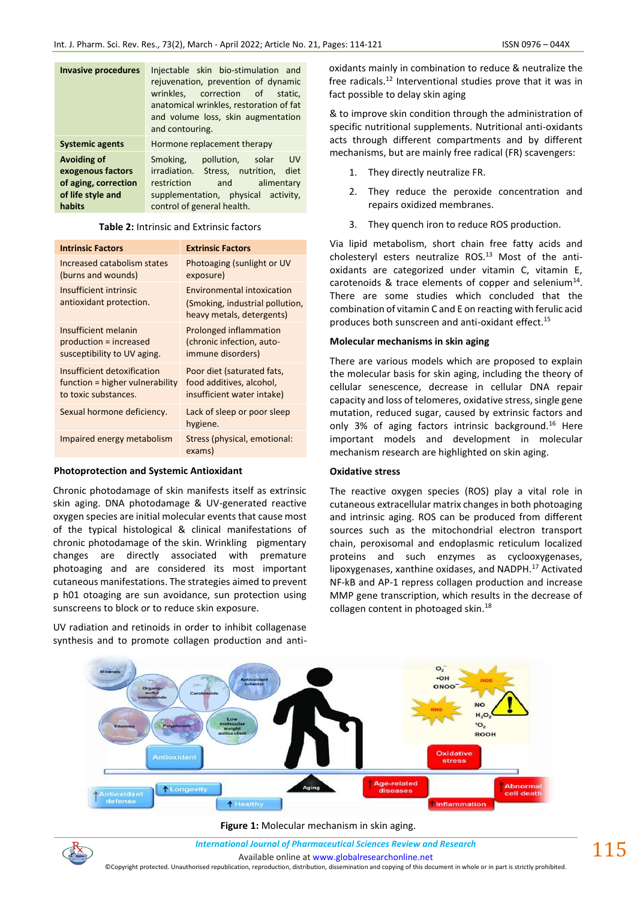| <b>Invasive procedures</b>                                                                     | Injectable skin bio-stimulation and<br>rejuvenation, prevention of dynamic<br>wrinkles, correction of static,<br>anatomical wrinkles, restoration of fat<br>and volume loss, skin augmentation<br>and contouring. |
|------------------------------------------------------------------------------------------------|-------------------------------------------------------------------------------------------------------------------------------------------------------------------------------------------------------------------|
| <b>Systemic agents</b>                                                                         | Hormone replacement therapy                                                                                                                                                                                       |
| <b>Avoiding of</b><br>exogenous factors<br>of aging, correction<br>of life style and<br>habits | Smoking, pollution, solar<br><b>UV</b><br>irradiation. Stress, nutrition,<br>diet<br>restriction<br>and<br>alimentary<br>supplementation, physical activity,<br>control of general health.                        |

#### **Table 2:** Intrinsic and Extrinsic factors

| <b>Intrinsic Factors</b>                                                               | <b>Extrinsic Factors</b>                                                                          |
|----------------------------------------------------------------------------------------|---------------------------------------------------------------------------------------------------|
| Increased catabolism states<br>(burns and wounds)                                      | Photoaging (sunlight or UV<br>exposure)                                                           |
| Insufficient intrinsic<br>antioxidant protection.                                      | <b>Environmental intoxication</b><br>(Smoking, industrial pollution,<br>heavy metals, detergents) |
| Insufficient melanin<br>production = increased<br>susceptibility to UV aging.          | <b>Prolonged inflammation</b><br>(chronic infection, auto-<br>immune disorders)                   |
| Insufficient detoxification<br>function = higher vulnerability<br>to toxic substances. | Poor diet (saturated fats,<br>food additives, alcohol,<br>insufficient water intake)              |
| Sexual hormone deficiency.                                                             | Lack of sleep or poor sleep<br>hygiene.                                                           |
| Impaired energy metabolism                                                             | Stress (physical, emotional:<br>exams)                                                            |

#### **Photoprotection and Systemic Antioxidant**

Chronic photodamage of skin manifests itself as extrinsic skin aging. DNA photodamage & UV-generated reactive oxygen species are initial molecular events that cause most of the typical histological & clinical manifestations of chronic photodamage of the skin. Wrinkling pigmentary changes are directly associated with premature photoaging and are considered its most important cutaneous manifestations. The strategies aimed to prevent p h01 otoaging are sun avoidance, sun protection using sunscreens to block or to reduce skin exposure.

UV radiation and retinoids in order to inhibit collagenase synthesis and to promote collagen production and antioxidants mainly in combination to reduce & neutralize the free radicals.<sup>12</sup> Interventional studies prove that it was in fact possible to delay skin aging

& to improve skin condition through the administration of specific nutritional supplements. Nutritional anti-oxidants acts through different compartments and by different mechanisms, but are mainly free radical (FR) scavengers:

- 1. They directly neutralize FR.
- 2. They reduce the peroxide concentration and repairs oxidized membranes.
- 3. They quench iron to reduce ROS production.

Via lipid metabolism, short chain free fatty acids and cholesteryl esters neutralize ROS.<sup>13</sup> Most of the antioxidants are categorized under vitamin C, vitamin E, carotenoids & trace elements of copper and selenium<sup>14</sup>. There are some studies which concluded that the combination of vitamin C and E on reacting with ferulic acid produces both sunscreen and anti-oxidant effect.<sup>15</sup>

#### **Molecular mechanisms in skin aging**

There are various models which are proposed to explain the molecular basis for skin aging, including the theory of cellular senescence, decrease in cellular DNA repair capacity and loss of telomeres, oxidative stress, single gene mutation, reduced sugar, caused by extrinsic factors and only 3% of aging factors intrinsic background.<sup>16</sup> Here important models and development in molecular mechanism research are highlighted on skin aging.

#### **Oxidative stress**

The reactive oxygen species (ROS) play a vital role in cutaneous extracellular matrix changes in both photoaging and intrinsic aging. ROS can be produced from different sources such as the mitochondrial electron transport chain, peroxisomal and endoplasmic reticulum localized proteins and such enzymes as cyclooxygenases, lipoxygenases, xanthine oxidases, and NADPH.<sup>17</sup> Activated NF-kB and AP-1 repress collagen production and increase MMP gene transcription, which results in the decrease of collagen content in photoaged skin.<sup>18</sup>



**Figure 1:** Molecular mechanism in skin aging.

*International Journal of Pharmaceutical Sciences Review and Research International Journal of Pharmaceutical Sciences Review and Research*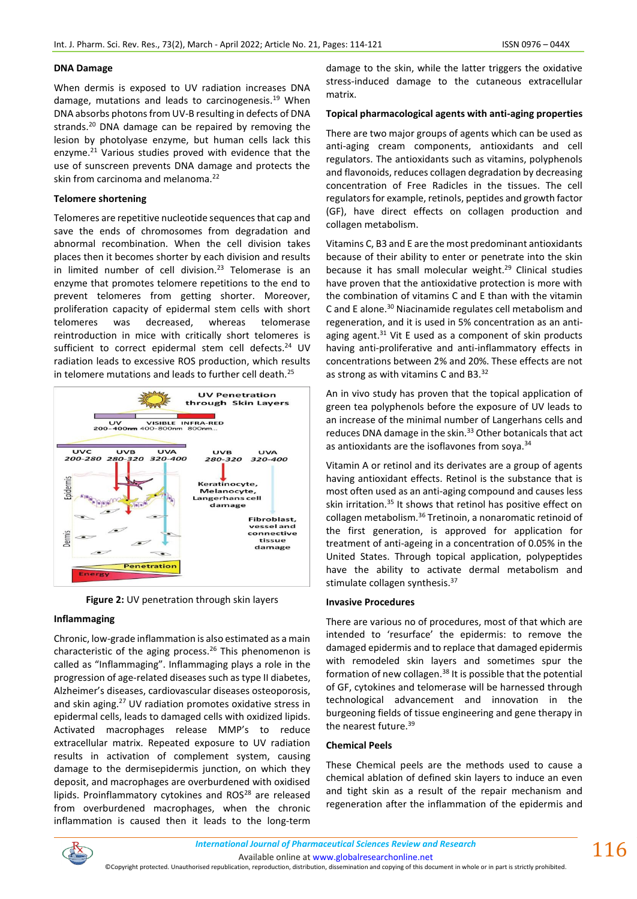#### **DNA Damage**

When dermis is exposed to UV radiation increases DNA damage, mutations and leads to carcinogenesis. $^{19}$  When DNA absorbs photons from UV-B resulting in defects of DNA strands.<sup>20</sup> DNA damage can be repaired by removing the lesion by photolyase enzyme, but human cells lack this enzyme.<sup>21</sup> Various studies proved with evidence that the use of sunscreen prevents DNA damage and protects the skin from carcinoma and melanoma.<sup>22</sup>

### **Telomere shortening**

Telomeres are repetitive nucleotide sequences that cap and save the ends of chromosomes from degradation and abnormal recombination. When the cell division takes places then it becomes shorter by each division and results in limited number of cell division.<sup>23</sup> Telomerase is an enzyme that promotes telomere repetitions to the end to prevent telomeres from getting shorter. Moreover, proliferation capacity of epidermal stem cells with short telomeres was decreased, whereas telomerase reintroduction in mice with critically short telomeres is sufficient to correct epidermal stem cell defects.<sup>24</sup> UV radiation leads to excessive ROS production, which results in telomere mutations and leads to further cell death.<sup>25</sup>



**Figure 2:** UV penetration through skin layers

#### **Inflammaging**

Chronic, low-grade inflammation is also estimated as a main characteristic of the aging process.<sup>26</sup> This phenomenon is called as "Inflammaging". Inflammaging plays a role in the progression of age-related diseases such as type II diabetes, Alzheimer's diseases, cardiovascular diseases osteoporosis, and skin aging.<sup>27</sup> UV radiation promotes oxidative stress in epidermal cells, leads to damaged cells with oxidized lipids. Activated macrophages release MMP's to reduce extracellular matrix. Repeated exposure to UV radiation results in activation of complement system, causing damage to the dermisepidermis junction, on which they deposit, and macrophages are overburdened with oxidised lipids. Proinflammatory cytokines and ROS<sup>28</sup> are released from overburdened macrophages, when the chronic inflammation is caused then it leads to the long-term damage to the skin, while the latter triggers the oxidative stress-induced damage to the cutaneous extracellular matrix.

## **Topical pharmacological agents with anti-aging properties**

There are two major groups of agents which can be used as anti-aging cream components, antioxidants and cell regulators. The antioxidants such as vitamins, polyphenols and flavonoids, reduces collagen degradation by decreasing concentration of Free Radicles in the tissues. The cell regulators for example, retinols, peptides and growth factor (GF), have direct effects on collagen production and collagen metabolism.

Vitamins C, B3 and E are the most predominant antioxidants because of their ability to enter or penetrate into the skin because it has small molecular weight.<sup>29</sup> Clinical studies have proven that the antioxidative protection is more with the combination of vitamins C and E than with the vitamin C and E alone.<sup>30</sup> Niacinamide regulates cell metabolism and regeneration, and it is used in 5% concentration as an antiaging agent. $31$  Vit E used as a component of skin products having anti-proliferative and anti-inflammatory effects in concentrations between 2% and 20%. These effects are not as strong as with vitamins C and B3.<sup>32</sup>

An in vivo study has proven that the topical application of green tea polyphenols before the exposure of UV leads to an increase of the minimal number of Langerhans cells and reduces DNA damage in the skin.<sup>33</sup> Other botanicals that act as antioxidants are the isoflavones from soya.<sup>34</sup>

Vitamin A or retinol and its derivates are a group of agents having antioxidant effects. Retinol is the substance that is most often used as an anti-aging compound and causes less skin irritation.<sup>35</sup> It shows that retinol has positive effect on collagen metabolism.<sup>36</sup> Tretinoin, a nonaromatic retinoid of the first generation, is approved for application for treatment of anti-ageing in a concentration of 0.05% in the United States. Through topical application, polypeptides have the ability to activate dermal metabolism and stimulate collagen synthesis.<sup>37</sup>

#### **Invasive Procedures**

There are various no of procedures, most of that which are intended to 'resurface' the epidermis: to remove the damaged epidermis and to replace that damaged epidermis with remodeled skin layers and sometimes spur the formation of new collagen. $38$  It is possible that the potential of GF, cytokines and telomerase will be harnessed through technological advancement and innovation in the burgeoning fields of tissue engineering and gene therapy in the nearest future.<sup>39</sup>

## **Chemical Peels**

These Chemical peels are the methods used to cause a chemical ablation of defined skin layers to induce an even and tight skin as a result of the repair mechanism and regeneration after the inflammation of the epidermis and



*International Journal of Pharmaceutical Sciences Review and Research International Journal of Pharmaceutical Sciences Review and Research* Available online a[t www.globalresearchonline.net](http://www.globalresearchonline.net/)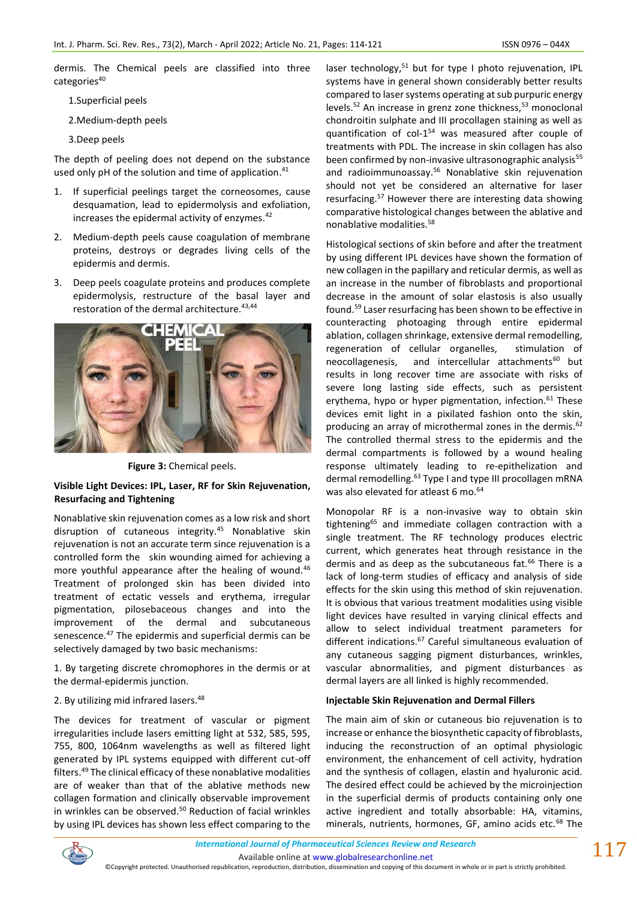dermis. The Chemical peels are classified into three categories<sup>40</sup>

1.Superficial peels

2.Medium-depth peels

3.Deep peels

The depth of peeling does not depend on the substance used only pH of the solution and time of application.<sup>41</sup>

- 1. If superficial peelings target the corneosomes, cause desquamation, lead to epidermolysis and exfoliation, increases the epidermal activity of enzymes.<sup>42</sup>
- 2. Medium-depth peels cause coagulation of membrane proteins, destroys or degrades living cells of the epidermis and dermis.
- 3. Deep peels coagulate proteins and produces complete epidermolysis, restructure of the basal layer and restoration of the dermal architecture.<sup>43,44</sup>



**Figure 3:** Chemical peels.

## **Visible Light Devices: IPL, Laser, RF for Skin Rejuvenation, Resurfacing and Tightening**

Nonablative skin rejuvenation comes as a low risk and short disruption of cutaneous integrity.<sup>45</sup> Nonablative skin rejuvenation is not an accurate term since rejuvenation is a controlled form the skin wounding aimed for achieving a more youthful appearance after the healing of wound.<sup>46</sup> Treatment of prolonged skin has been divided into treatment of ectatic vessels and erythema, irregular pigmentation, pilosebaceous changes and into the improvement of the dermal and subcutaneous senescence.<sup>47</sup> The epidermis and superficial dermis can be selectively damaged by two basic mechanisms:

1. By targeting discrete chromophores in the dermis or at the dermal-epidermis junction.

## 2. By utilizing mid infrared lasers.<sup>48</sup>

The devices for treatment of vascular or pigment irregularities include lasers emitting light at 532, 585, 595, 755, 800, 1064nm wavelengths as well as filtered light generated by IPL systems equipped with different cut-off filters.<sup>49</sup> The clinical efficacy of these nonablative modalities are of weaker than that of the ablative methods new collagen formation and clinically observable improvement in wrinkles can be observed.<sup>50</sup> Reduction of facial wrinkles by using IPL devices has shown less effect comparing to the laser technology, $51$  but for type I photo rejuvenation, IPL systems have in general shown considerably better results compared to laser systems operating at sub purpuric energy levels.<sup>52</sup> An increase in grenz zone thickness,<sup>53</sup> monoclonal chondroitin sulphate and III procollagen staining as well as quantification of col-1 <sup>54</sup> was measured after couple of treatments with PDL. The increase in skin collagen has also been confirmed by non-invasive ultrasonographic analysis<sup>55</sup> and radioimmunoassay.<sup>56</sup> Nonablative skin rejuvenation should not yet be considered an alternative for laser resurfacing.<sup>57</sup> However there are interesting data showing comparative histological changes between the ablative and nonablative modalities.<sup>58</sup>

Histological sections of skin before and after the treatment by using different IPL devices have shown the formation of new collagen in the papillary and reticular dermis, as well as an increase in the number of fibroblasts and proportional decrease in the amount of solar elastosis is also usually found.<sup>59</sup> Laser resurfacing has been shown to be effective in counteracting photoaging through entire epidermal ablation, collagen shrinkage, extensive dermal remodelling, regeneration of cellular organelles, stimulation of neocollagenesis, and intercellular attachments<sup>60</sup> but results in long recover time are associate with risks of severe long lasting side effects, such as persistent erythema, hypo or hyper pigmentation, infection.<sup>61</sup> These devices emit light in a pixilated fashion onto the skin, producing an array of microthermal zones in the dermis.<sup>62</sup> The controlled thermal stress to the epidermis and the dermal compartments is followed by a wound healing response ultimately leading to re-epithelization and dermal remodelling.<sup>63</sup> Type I and type III procollagen mRNA was also elevated for atleast 6 mo.<sup>64</sup>

Monopolar RF is a non-invasive way to obtain skin tightening<sup>65</sup> and immediate collagen contraction with a single treatment. The RF technology produces electric current, which generates heat through resistance in the dermis and as deep as the subcutaneous fat.<sup>66</sup> There is a lack of long-term studies of efficacy and analysis of side effects for the skin using this method of skin rejuvenation. It is obvious that various treatment modalities using visible light devices have resulted in varying clinical effects and allow to select individual treatment parameters for different indications.<sup>67</sup> Careful simultaneous evaluation of any cutaneous sagging pigment disturbances, wrinkles, vascular abnormalities, and pigment disturbances as dermal layers are all linked is highly recommended.

## **Injectable Skin Rejuvenation and Dermal Fillers**

The main aim of skin or cutaneous bio rejuvenation is to increase or enhance the biosynthetic capacity of fibroblasts, inducing the reconstruction of an optimal physiologic environment, the enhancement of cell activity, hydration and the synthesis of collagen, elastin and hyaluronic acid. The desired effect could be achieved by the microinjection in the superficial dermis of products containing only one active ingredient and totally absorbable: HA, vitamins, minerals, nutrients, hormones, GF, amino acids etc.<sup>68</sup> The



©Copyright protected. Unauthorised republication, reproduction, distribution, dissemination and copying of this document in whole or in part is strictly prohibited.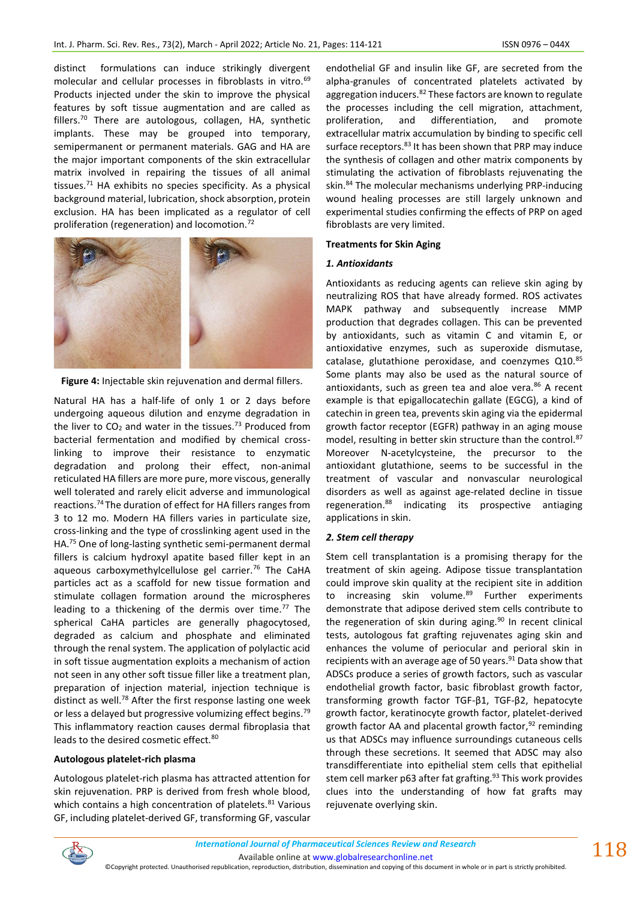distinct formulations can induce strikingly divergent molecular and cellular processes in fibroblasts in vitro.<sup>69</sup> Products injected under the skin to improve the physical features by soft tissue augmentation and are called as fillers.<sup>70</sup> There are autologous, collagen, HA, synthetic implants. These may be grouped into temporary, semipermanent or permanent materials. GAG and HA are the major important components of the skin extracellular matrix involved in repairing the tissues of all animal tissues.<sup>71</sup> HA exhibits no species specificity. As a physical background material, lubrication, shock absorption, protein exclusion. HA has been implicated as a regulator of cell proliferation (regeneration) and locomotion.<sup>72</sup>



**Figure 4:** Injectable skin rejuvenation and dermal fillers.

Natural HA has a half-life of only 1 or 2 days before undergoing aqueous dilution and enzyme degradation in the liver to  $CO<sub>2</sub>$  and water in the tissues.<sup>73</sup> Produced from bacterial fermentation and modified by chemical crosslinking to improve their resistance to enzymatic degradation and prolong their effect, non-animal reticulated HA fillers are more pure, more viscous, generally well tolerated and rarely elicit adverse and immunological reactions.<sup>74</sup> The duration of effect for HA fillers ranges from 3 to 12 mo. Modern HA fillers varies in particulate size, cross-linking and the type of crosslinking agent used in the HA.<sup>75</sup> One of long-lasting synthetic semi-permanent dermal fillers is calcium hydroxyl apatite based filler kept in an aqueous carboxymethylcellulose gel carrier.<sup>76</sup> The CaHA particles act as a scaffold for new tissue formation and stimulate collagen formation around the microspheres leading to a thickening of the dermis over time.<sup>77</sup> The spherical CaHA particles are generally phagocytosed, degraded as calcium and phosphate and eliminated through the renal system. The application of polylactic acid in soft tissue augmentation exploits a mechanism of action not seen in any other soft tissue filler like a treatment plan, preparation of injection material, injection technique is distinct as well.<sup>78</sup> After the first response lasting one week or less a delayed but progressive volumizing effect begins.<sup>79</sup> This inflammatory reaction causes dermal fibroplasia that leads to the desired cosmetic effect.<sup>80</sup>

## **Autologous platelet-rich plasma**

Autologous platelet-rich plasma has attracted attention for skin rejuvenation. PRP is derived from fresh whole blood, which contains a high concentration of platelets.<sup>81</sup> Various GF, including platelet-derived GF, transforming GF, vascular endothelial GF and insulin like GF, are secreted from the alpha-granules of concentrated platelets activated by aggregation inducers.<sup>82</sup> These factors are known to regulate the processes including the cell migration, attachment, proliferation, and differentiation, and promote extracellular matrix accumulation by binding to specific cell surface receptors.<sup>83</sup> It has been shown that PRP may induce the synthesis of collagen and other matrix components by stimulating the activation of fibroblasts rejuvenating the skin.<sup>84</sup> The molecular mechanisms underlying PRP-inducing wound healing processes are still largely unknown and experimental studies confirming the effects of PRP on aged fibroblasts are very limited.

## **Treatments for Skin Aging**

## *1. Antioxidants*

Antioxidants as reducing agents can relieve skin aging by neutralizing ROS that have already formed. ROS activates MAPK pathway and subsequently increase MMP production that degrades collagen. This can be prevented by antioxidants, such as vitamin C and vitamin E, or antioxidative enzymes, such as superoxide dismutase, catalase, glutathione peroxidase, and coenzymes Q10.85 Some plants may also be used as the natural source of antioxidants, such as green tea and aloe vera. $86$  A recent example is that epigallocatechin gallate (EGCG), a kind of catechin in green tea, prevents skin aging via the epidermal growth factor receptor (EGFR) pathway in an aging mouse model, resulting in better skin structure than the control.<sup>87</sup> Moreover N-acetylcysteine, the precursor to the antioxidant glutathione, seems to be successful in the treatment of vascular and nonvascular neurological disorders as well as against age-related decline in tissue regeneration.<sup>88</sup> indicating its prospective antiaging applications in skin.

## *2. Stem cell therapy*

Stem cell transplantation is a promising therapy for the treatment of skin ageing. Adipose tissue transplantation could improve skin quality at the recipient site in addition to increasing skin volume.<sup>89</sup> Further experiments demonstrate that adipose derived stem cells contribute to the regeneration of skin during aging. $90$  In recent clinical tests, autologous fat grafting rejuvenates aging skin and enhances the volume of periocular and perioral skin in recipients with an average age of 50 years. $91$  Data show that ADSCs produce a series of growth factors, such as vascular endothelial growth factor, basic fibroblast growth factor, transforming growth factor TGF-β1, TGF-β2, hepatocyte growth factor, keratinocyte growth factor, platelet-derived growth factor AA and placental growth factor, <sup>92</sup> reminding us that ADSCs may influence surroundings cutaneous cells through these secretions. It seemed that ADSC may also transdifferentiate into epithelial stem cells that epithelial stem cell marker p63 after fat grafting.<sup>93</sup> This work provides clues into the understanding of how fat grafts may rejuvenate overlying skin.



118

Available online a[t www.globalresearchonline.net](http://www.globalresearchonline.net/) ©Copyright protected. Unauthorised republication, reproduction, distribution, dissemination and copying of this document in whole or in part is strictly prohibited.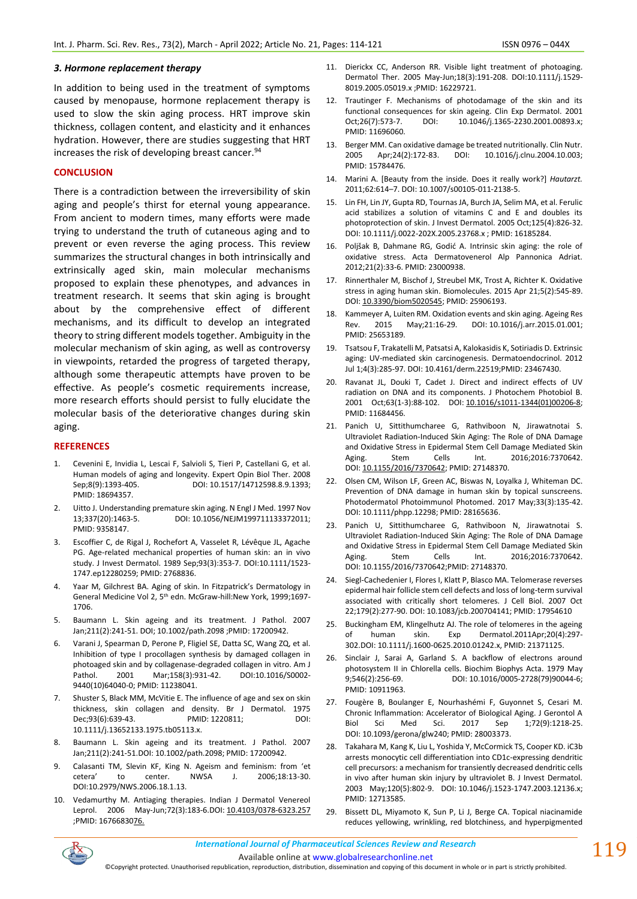#### *3. Hormone replacement therapy*

In addition to being used in the treatment of symptoms caused by menopause, hormone replacement therapy is used to slow the skin aging process. HRT improve skin thickness, collagen content, and elasticity and it enhances hydration. However, there are studies suggesting that HRT increases the risk of developing breast cancer.<sup>94</sup>

#### **CONCLUSION**

There is a contradiction between the irreversibility of skin aging and people's thirst for eternal young appearance. From ancient to modern times, many efforts were made trying to understand the truth of cutaneous aging and to prevent or even reverse the aging process. This review summarizes the structural changes in both intrinsically and extrinsically aged skin, main molecular mechanisms proposed to explain these phenotypes, and advances in treatment research. It seems that skin aging is brought about by the comprehensive effect of different mechanisms, and its difficult to develop an integrated theory to string different models together. Ambiguity in the molecular mechanism of skin aging, as well as controversy in viewpoints, retarded the progress of targeted therapy, although some therapeutic attempts have proven to be effective. As people's cosmetic requirements increase, more research efforts should persist to fully elucidate the molecular basis of the deteriorative changes during skin aging.

#### **REFERENCES**

- 1. Cevenini E, Invidia L, Lescai F, Salvioli S, Tieri P, Castellani G, et al. Human models of aging and longevity. Expert Opin Biol Ther. 2008<br>Sep;8(9):1393-405. DOI: 10.1517/14712598.8.9.1393; DOI: 10.1517/14712598.8.9.1393; PMID: 18694357.
- 2. Uitto J. Understanding premature skin aging. N Engl J Med. 1997 Nov<br>13;337(20):1463-5. DOI: 10.1056/NEJM199711133372011; 13;337(20):1463-5. DOI: [10.1056/NEJM199711133372011;](https://doi.org/10.1056/nejm199711133372011)  PMID: 9358147.
- 3. Escoffier C, de Rigal J, Rochefort A, Vasselet R, Lévêque JL, Agache PG. Age-related mechanical properties of human skin: an in vivo study. J Invest Dermatol. 1989 Sep;93(3):353-7. DOI:10.1111/1523- 1747.ep12280259; PMID: 2768836.
- 4. Yaar M, Gilchrest BA. Aging of skin. In Fitzpatrick's Dermatology in General Medicine Vol 2, 5th edn. McGraw-hill:New York, 1999;1697- 1706.
- 5. Baumann L. Skin ageing and its treatment. J Pathol. 2007 Jan;211(2):241-51. DOI; 10.1002/path.2098 ;PMID: 17200942.
- 6. Varani J, Spearman D, Perone P, Fligiel SE, Datta SC, Wang ZQ, et al. Inhibition of type I procollagen synthesis by damaged collagen in photoaged skin and by collagenase-degraded collagen in vitro. Am J Pathol. 2001 Mar;158(3):931-42. DOI:10.1016/S0002-9440(10)64040-0; PMID: 11238041.
- 7. Shuster S, Black MM, McVitie E. The influence of age and sex on skin thickness, skin collagen and density. Br J Dermatol. 1975 Dec;93(6):639-43. PMID: 1220811; DOI: 10.1111/j.13652133.1975.tb05113.x.
- 8. Baumann L. Skin ageing and its treatment. J Pathol. 2007 Jan;211(2):241-51.DOI: 10.1002/path.2098; PMID: 17200942.
- 9. Calasanti TM, Slevin KF, King N. Ageism and feminism: from 'et cetera' to center. NWSA J. 2006;18:13-30. DOI:10.2979/NWS.2006.18.1.13.
- 10. Vedamurthy M. Antiaging therapies. Indian J Dermatol Venereol Leprol. 2006 May-Jun;72(3):183-6.DOI: [10.4103/0378-6323.257](https://doi.org/10.4103/0378-6323.25776) ;PMID: [1676683076.](https://doi.org/10.4103/0378-6323.25776)
- 11. Dierickx CC, Anderson RR. Visible light treatment of photoaging. Dermatol Ther. 2005 May-Jun;18(3):191-208. DOI:10.1111/j.1529- 8019.2005.05019.x ;PMID: 16229721.
- 12. Trautinger F. Mechanisms of photodamage of the skin and its functional consequences for skin ageing. Clin Exp Dermatol. 2001 Oct;26(7):573-7. DOI: 10.1046/j.1365-2230.2001.00893.x; PMID: 11696060.
- 13. Berger MM. Can oxidative damage be treated nutritionally. Clin Nutr. 2005 Apr;24(2):172-83. DOI: 10.1016/j.clnu.2004.10.003; PMID: 15784476.
- 14. Marini A. [Beauty from the inside. Does it really work?] *Hautarzt.*  2011;62:614–7. DOI: 10.1007/s00105-011-2138-5.
- 15. Lin FH, Lin JY, Gupta RD, Tournas JA, Burch JA, Selim MA, et al. Ferulic acid stabilizes a solution of vitamins C and E and doubles its photoprotection of skin. J Invest Dermatol. 2005 Oct;125(4):826-32. DOI: 10.1111/j.0022-202X.2005.23768.x ; PMID: 16185284.
- 16. Poljšak B, Dahmane RG, Godić A. Intrinsic skin aging: the role of oxidative stress. Acta Dermatovenerol Alp Pannonica Adriat. 2012;21(2):33-6. PMID: 23000938.
- 17. Rinnerthaler M, Bischof J, Streubel MK, Trost A, Richter K. Oxidative stress in aging human skin. Biomolecules. 2015 Apr 21;5(2):545-89. DOI: [10.3390/biom5020545;](https://doi.org/10.3390/biom5020545) PMID: 25906193.
- 18. Kammeyer A, Luiten RM. Oxidation events and skin aging. Ageing Res Rev. 2015 May;21:16-29. DOI: [10.1016/j.arr.2015.01.001;](https://doi.org/10.1016/j.arr.2015.01.001) PMID: 25653189.
- 19. Tsatsou F, Trakatelli M, Patsatsi A, Kalokasidis K, Sotiriadis D. Extrinsic aging: UV-mediated skin carcinogenesis. Dermatoendocrinol. 2012 Jul 1;4(3):285-97. DOI: [10.4161/derm.22519;P](https://doi.org/10.4161/derm.22519)MID: 23467430.
- 20. Ravanat JL, Douki T, Cadet J. Direct and indirect effects of UV radiation on DNA and its components. J Photochem Photobiol B. 2001 Oct;63(1-3):88-102. DOI: [10.1016/s1011-1344\(01\)00206-8;](https://doi.org/10.1016/s1011-1344(01)00206-8) PMID: 11684456.
- 21. Panich U, Sittithumcharee G, Rathviboon N, Jirawatnotai S. Ultraviolet Radiation-Induced Skin Aging: The Role of DNA Damage and Oxidative Stress in Epidermal Stem Cell Damage Mediated Skin Aging. Stem Cells Int. 2016;2016:7370642. DOI: [10.1155/2016/7370642;](https://doi.org/10.1155/2016/7370642) PMID: 27148370.
- 22. Olsen CM, Wilson LF, Green AC, Biswas N, Loyalka J, Whiteman DC. Prevention of DNA damage in human skin by topical sunscreens. Photodermatol Photoimmunol Photomed. 2017 May;33(3):135-42. DOI: [10.1111/phpp.12298;](https://doi.org/10.1111/phpp.12298) PMID: 28165636.
- 23. Panich U, Sittithumcharee G, Rathviboon N, Jirawatnotai S. Ultraviolet Radiation-Induced Skin Aging: The Role of DNA Damage and Oxidative Stress in Epidermal Stem Cell Damage Mediated Skin Aging. Stem Cells Int. 2016;2016:7370642. DOI: [10.1155/2016/7370642;](https://doi.org/10.1155/2016/7370642)PMID: 27148370.
- 24. Siegl-Cachedenier I, Flores I, Klatt P, Blasco MA. Telomerase reverses epidermal hair follicle stem cell defects and loss of long-term survival associated with critically short telomeres. J Cell Biol. 2007 Oct 22;179(2):277-90. DOI: [10.1083/jcb.200704141;](https://doi.org/10.1083/jcb.200704141) PMID: 17954610
- 25. Buckingham EM, Klingelhutz AJ. The role of telomeres in the ageing of human skin. Exp Dermatol.2011Apr;20(4):297- 302.DOI: [10.1111/j.1600-0625.2010.01242.x,](https://doi.org/10.1111/j.1600-0625.2010.01242.x) PMID: 21371125.
- 26. Sinclair J, Sarai A, Garland S. A backflow of electrons around photosystem II in Chlorella cells. Biochim Biophys Acta. 1979 May 9;546(2):256-69. DOI: [10.1016/0005-2728\(79\)90044-6;](https://doi.org/10.1016/0005-2728(79)90044-6) PMID: 10911963.
- 27. Fougère B, Boulanger E, Nourhashémi F, Guyonnet S, Cesari M. Chronic Inflammation: Accelerator of Biological Aging. J Gerontol A Biol Sci Med Sci. 2017 Sep 1;72(9):1218-25. DOI: [10.1093/gerona/glw240;](https://doi.org/10.1093/gerona/glw240) PMID: 28003373.
- 28. Takahara M, Kang K, Liu L, Yoshida Y, McCormick TS, Cooper KD. iC3b arrests monocytic cell differentiation into CD1c-expressing dendritic cell precursors: a mechanism for transiently decreased dendritic cells in vivo after human skin injury by ultraviolet B. J Invest Dermatol. 2003 May;120(5):802-9. DOI: [10.1046/j.1523-1747.2003.12136.x;](https://doi.org/10.1046/j.1523-1747.2003.12136.x) PMID: 12713585.
- 29. Bissett DL, Miyamoto K, Sun P, Li J, Berge CA. Topical niacinamide reduces yellowing, wrinkling, red blotchiness, and hyperpigmented

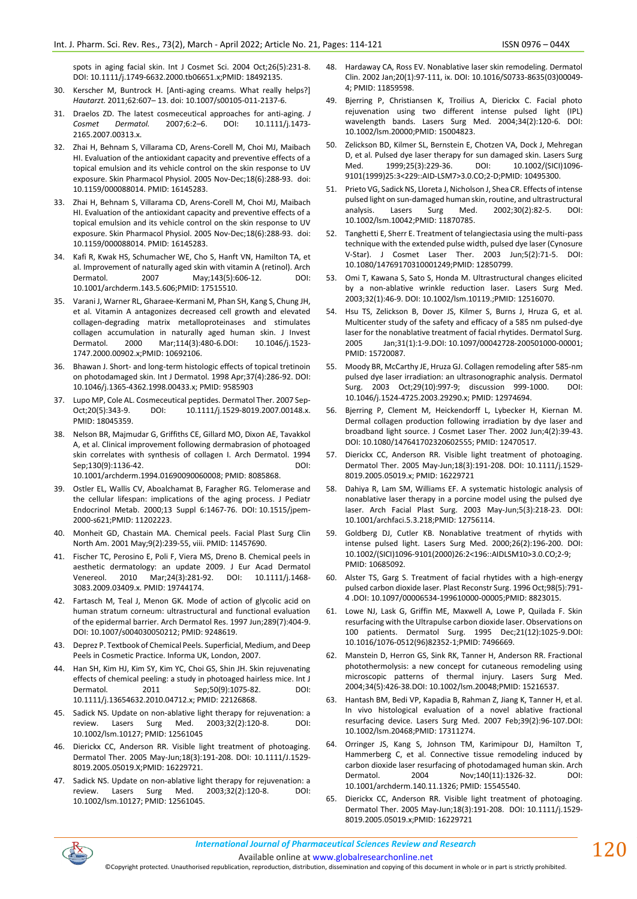spots in aging facial skin. Int J Cosmet Sci. 2004 Oct;26(5):231-8. DOI: [10.1111/j.1749-6632.2000.tb06651.x;](https://doi.org/10.1111/j.1749-6632.2000.tb06651.x)PMID: 18492135.

- 30. Kerscher M, Buntrock H. [Anti-aging creams. What really helps?] *Hautarzt.* 2011;62:607– 13. doi: 10.1007/s00105-011-2137-6.
- 31. Draelos ZD. The latest cosmeceutical approaches for anti-aging. *J Cosmet Dermatol.* 2007;6:2–6. DOI: 10.1111/j.1473- 2165.2007.00313.x.
- 32. Zhai H, Behnam S, Villarama CD, Arens-Corell M, Choi MJ, Maibach HI. Evaluation of the antioxidant capacity and preventive effects of a topical emulsion and its vehicle control on the skin response to UV exposure. Skin Pharmacol Physiol. 2005 Nov-Dec;18(6):288-93. doi: 10.1159/000088014. PMID: 16145283.
- 33. Zhai H, Behnam S, Villarama CD, Arens-Corell M, Choi MJ, Maibach HI. Evaluation of the antioxidant capacity and preventive effects of a topical emulsion and its vehicle control on the skin response to UV exposure. Skin Pharmacol Physiol. 2005 Nov-Dec;18(6):288-93. doi: 10.1159/000088014. PMID: 16145283.
- 34. Kafi R, Kwak HS, Schumacher WE, Cho S, Hanft VN, Hamilton TA, et al. Improvement of naturally aged skin with vitamin A (retinol). Arch Dermatol. 2007 May;143(5):606-12. DOI: 10.1001/archderm.143.5.606;PMID: 17515510.
- 35. Varani J, Warner RL, Gharaee-Kermani M, Phan SH, Kang S, Chung JH, et al. Vitamin A antagonizes decreased cell growth and elevated collagen-degrading matrix metalloproteinases and stimulates collagen accumulation in naturally aged human skin. J Invest Dermatol. 2000 Mar;114(3):480-6.DOI: 10.1046/j.1523- 1747.2000.00902.x;PMID: 10692106.
- 36. Bhawan J. Short- and long-term histologic effects of topical tretinoin on photodamaged skin. Int J Dermatol. 1998 Apr;37(4):286-92. DOI: 10.1046/j.1365-4362.1998.00433.x; PMID: 9585903
- 37. Lupo MP, Cole AL. Cosmeceutical peptides. Dermatol Ther. 2007 Sep-Oct;20(5):343-9. DOI: 10.1111/j.1529-8019.2007.00148.x. PMID: 18045359.
- 38. Nelson BR, Majmudar G, Griffiths CE, Gillard MO, Dixon AE, Tavakkol A, et al. Clinical improvement following dermabrasion of photoaged skin correlates with synthesis of collagen I. Arch Dermatol. 1994 Sep:130(9):1136-42. DOI: 10.1001/archderm.1994.01690090060008; PMID: 8085868.
- 39. Ostler EL, Wallis CV, Aboalchamat B, Faragher RG. Telomerase and the cellular lifespan: implications of the aging process. J Pediatr Endocrinol Metab. 2000;13 Suppl 6:1467-76. DOI: [10.1515/jpem-](https://doi.org/10.1515/jpem-2000-s621)[2000-s621;P](https://doi.org/10.1515/jpem-2000-s621)MID: 11202223.
- 40. Monheit GD, Chastain MA. Chemical peels. Facial Plast Surg Clin North Am. 2001 May;9(2):239-55, viii. PMID: 11457690.
- 41. Fischer TC, Perosino E, Poli F, Viera MS, Dreno B. Chemical peels in aesthetic dermatology: an update 2009. J Eur Acad Dermatol Venereol. 2010 Mar;24(3):281-92. DOI: 10.1111/j.1468- 3083.2009.03409.x. PMID: 19744174.
- 42. Fartasch M, Teal J, Menon GK. Mode of action of glycolic acid on human stratum corneum: ultrastructural and functional evaluation of the epidermal barrier. Arch Dermatol Res. 1997 Jun;289(7):404-9. DOI: 10.1007/s004030050212; PMID: 9248619.
- 43. Deprez P. Textbook of Chemical Peels. Superficial, Medium, and Deep Peels in Cosmetic Practice. Informa UK, London, 2007.
- 44. Han SH, Kim HJ, Kim SY, Kim YC, Choi GS, Shin JH. Skin rejuvenating effects of chemical peeling: a study in photoaged hairless mice. Int J Dermatol. 2011 Sep;50(9):1075-82. DOI: 10.1111/j.13654632.2010.04712.x; PMID: 22126868.
- 45. Sadick NS. Update on non-ablative light therapy for rejuvenation: a review. Lasers Surg Med. 2003;32(2):120-8. DOI: 10.1002/lsm.10127; PMID: 12561045
- 46. Dierickx CC, Anderson RR. Visible light treatment of photoaging. Dermatol Ther. 2005 May-Jun;18(3):191-208. DOI: 10.1111/J.1529- 8019.2005.05019.X;PMID: 16229721.
- 47. Sadick NS. Update on non-ablative light therapy for rejuvenation: a review. Lasers Surg Med. 2003;32(2):120-8. DOI: 10.1002/lsm.10127; PMID: 12561045.
- 48. Hardaway CA, Ross EV. Nonablative laser skin remodeling. Dermatol Clin. 2002 Jan;20(1):97-111, ix. DOI: 10.1016/S0733-8635(03)00049- 4; PMID: 11859598.
- 49. Bjerring P, Christiansen K, Troilius A, Dierickx C. Facial photo rejuvenation using two different intense pulsed light (IPL) wavelength bands. Lasers Surg Med. 2004;34(2):120-6. DOI: 10.1002/lsm.20000;PMID: 15004823.
- 50. Zelickson BD, Kilmer SL, Bernstein E, Chotzen VA, Dock J, Mehregan D, et al. Pulsed dye laser therapy for sun damaged skin. Lasers Surg Med. 1999;25(3):229-36. DOI: 10.1002/(SICI)1096-9101(1999)25:3<229::AID-LSM7>3.0.CO;2-D;PMID: 10495300.
- 51. Prieto VG, Sadick NS, Lloreta J, Nicholson J, Shea CR. Effects of intense pulsed light on sun-damaged human skin, routine, and ultrastructural<br>analysis. Lasers Surg Med. 2002;30(2):82-5. DOI: analysis. Lasers Surg Med. 2002;30(2):82-5. DOI: 10.1002/lsm.10042;PMID: 11870785.
- 52. Tanghetti E, Sherr E. Treatment of telangiectasia using the multi-pass technique with the extended pulse width, pulsed dye laser (Cynosure V-Star). J Cosmet Laser Ther. 2003 Jun;5(2):71-5. DOI: 10.1080/14769170310001249;PMID: 12850799.
- 53. Omi T, Kawana S, Sato S, Honda M. Ultrastructural changes elicited by a non-ablative wrinkle reduction laser. Lasers Surg Med. 2003;32(1):46-9. DOI: 10.1002/lsm.10119.;PMID: 12516070.
- 54. Hsu TS, Zelickson B, Dover JS, Kilmer S, Burns J, Hruza G, et al. Multicenter study of the safety and efficacy of a 585 nm pulsed-dye laser for the nonablative treatment of facial rhytides. Dermatol Surg. 2005 Jan;31(1):1-9.DOI: [10.1097/00042728-200501000-00001;](https://doi.org/10.1097/00042728-200501000-00001) PMID: 15720087.
- 55. Moody BR, McCarthy JE, Hruza GJ. Collagen remodeling after 585-nm pulsed dye laser irradiation: an ultrasonographic analysis. Dermatol Surg. 2003 Oct;29(10):997-9; discussion 999-1000. DOI: 10.1046/j.1524-4725.2003.29290.x; PMID: 12974694.
- 56. Bjerring P, Clement M, Heickendorff L, Lybecker H, Kiernan M. Dermal collagen production following irradiation by dye laser and broadband light source. J Cosmet Laser Ther. 2002 Jun;4(2):39-43. DOI: 10.1080/147641702320602555; PMID: 12470517.
- 57. Dierickx CC, Anderson RR. Visible light treatment of photoaging. Dermatol Ther. 2005 May-Jun;18(3):191-208. DOI: 10.1111/j.1529- 8019.2005.05019.x; PMID: 16229721
- 58. Dahiya R, Lam SM, Williams EF. A systematic histologic analysis of nonablative laser therapy in a porcine model using the pulsed dye laser. Arch Facial Plast Surg. 2003 May-Jun;5(3):218-23. DOI: 10.1001/archfaci.5.3.218;PMID: 12756114.
- 59. Goldberg DJ, Cutler KB. Nonablative treatment of rhytids with intense pulsed light. Lasers Surg Med. 2000;26(2):196-200. DOI: 10.1002/(SICI)1096-9101(2000)26:2<196::AIDLSM10>3.0.CO;2-9; PMID: 10685092.
- 60. Alster TS, Garg S. Treatment of facial rhytides with a high-energy pulsed carbon dioxide laser. Plast Reconstr Surg. 1996 Oct;98(5):791- 4 .DOI: 10.1097/00006534-199610000-00005;PMID: 8823015.
- 61. Lowe NJ, Lask G, Griffin ME, Maxwell A, Lowe P, Quilada F. Skin resurfacing with the Ultrapulse carbon dioxide laser. Observations on 100 patients. Dermatol Surg. 1995 Dec;21(12):1025-9.DOI: 10.1016/1076-0512(96)82352-1;PMID: 7496669.
- 62. Manstein D, Herron GS, Sink RK, Tanner H, Anderson RR. Fractional photothermolysis: a new concept for cutaneous remodeling using microscopic patterns of thermal injury. Lasers Surg Med. 2004;34(5):426-38.DOI: 10.1002/lsm.20048;PMID: 15216537.
- 63. Hantash BM, Bedi VP, Kapadia B, Rahman Z, Jiang K, Tanner H, et al. In vivo histological evaluation of a novel ablative fractional resurfacing device. Lasers Surg Med. 2007 Feb;39(2):96-107.DOI: 10.1002/lsm.20468;PMID: 17311274.
- 64. Orringer JS, Kang S, Johnson TM, Karimipour DJ, Hamilton T, Hammerberg C, et al. Connective tissue remodeling induced by carbon dioxide laser resurfacing of photodamaged human skin. Arch Dermatol. 2004 Nov;140(11):1326-32. DOI: 10.1001/archderm.140.11.1326; PMID: 15545540.
- 65. Dierickx CC, Anderson RR. Visible light treatment of photoaging. Dermatol Ther. 2005 May-Jun;18(3):191-208. DOI: 10.1111/j.1529- 8019.2005.05019.x;PMID: 16229721